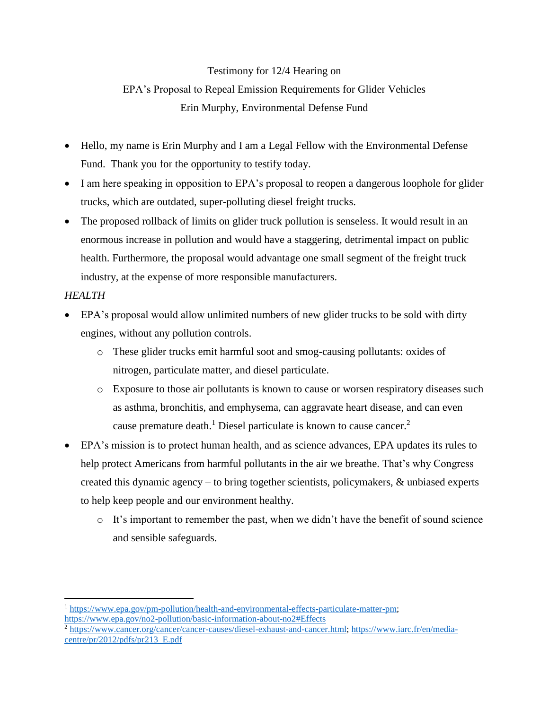## Testimony for 12/4 Hearing on EPA's Proposal to Repeal Emission Requirements for Glider Vehicles Erin Murphy, Environmental Defense Fund

- Hello, my name is Erin Murphy and I am a Legal Fellow with the Environmental Defense Fund. Thank you for the opportunity to testify today.
- I am here speaking in opposition to EPA's proposal to reopen a dangerous loophole for glider trucks, which are outdated, super-polluting diesel freight trucks.
- The proposed rollback of limits on glider truck pollution is senseless. It would result in an enormous increase in pollution and would have a staggering, detrimental impact on public health. Furthermore, the proposal would advantage one small segment of the freight truck industry, at the expense of more responsible manufacturers.

## *HEALTH*

 $\overline{a}$ 

- EPA's proposal would allow unlimited numbers of new glider trucks to be sold with dirty engines, without any pollution controls.
	- o These glider trucks emit harmful soot and smog-causing pollutants: oxides of nitrogen, particulate matter, and diesel particulate.
	- o Exposure to those air pollutants is known to cause or worsen respiratory diseases such as asthma, bronchitis, and emphysema, can aggravate heart disease, and can even cause premature death.<sup>1</sup> Diesel particulate is known to cause cancer.<sup>2</sup>
- EPA's mission is to protect human health, and as science advances, EPA updates its rules to help protect Americans from harmful pollutants in the air we breathe. That's why Congress created this dynamic agency – to bring together scientists, policymakers, & unbiased experts to help keep people and our environment healthy.
	- o It's important to remember the past, when we didn't have the benefit of sound science and sensible safeguards.

<sup>1</sup> [https://www.epa.gov/pm-pollution/health-and-environmental-effects-particulate-matter-pm;](https://www.epa.gov/pm-pollution/health-and-environmental-effects-particulate-matter-pm)

<https://www.epa.gov/no2-pollution/basic-information-about-no2#Effects>

<sup>2</sup> [https://www.cancer.org/cancer/cancer-causes/diesel-exhaust-and-cancer.html;](https://www.cancer.org/cancer/cancer-causes/diesel-exhaust-and-cancer.html) [https://www.iarc.fr/en/media](https://www.iarc.fr/en/media-centre/pr/2012/pdfs/pr213_E.pdf)[centre/pr/2012/pdfs/pr213\\_E.pdf](https://www.iarc.fr/en/media-centre/pr/2012/pdfs/pr213_E.pdf)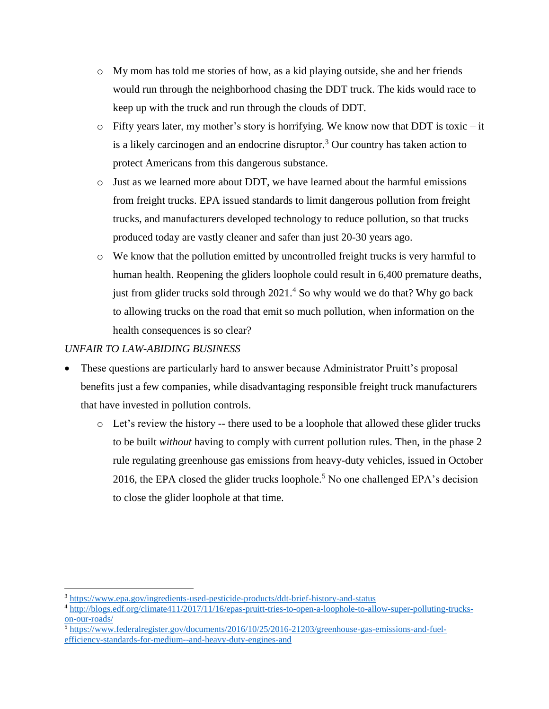- $\circ$  My mom has told me stories of how, as a kid playing outside, she and her friends would run through the neighborhood chasing the DDT truck. The kids would race to keep up with the truck and run through the clouds of DDT.
- $\circ$  Fifty years later, my mother's story is horrifying. We know now that DDT is toxic it is a likely carcinogen and an endocrine disruptor.<sup>3</sup> Our country has taken action to protect Americans from this dangerous substance.
- $\circ$  Just as we learned more about DDT, we have learned about the harmful emissions from freight trucks. EPA issued standards to limit dangerous pollution from freight trucks, and manufacturers developed technology to reduce pollution, so that trucks produced today are vastly cleaner and safer than just 20-30 years ago.
- o We know that the pollution emitted by uncontrolled freight trucks is very harmful to human health. Reopening the gliders loophole could result in 6,400 premature deaths, just from glider trucks sold through 2021.<sup>4</sup> So why would we do that? Why go back to allowing trucks on the road that emit so much pollution, when information on the health consequences is so clear?

## *UNFAIR TO LAW-ABIDING BUSINESS*

 $\overline{a}$ 

- These questions are particularly hard to answer because Administrator Pruitt's proposal benefits just a few companies, while disadvantaging responsible freight truck manufacturers that have invested in pollution controls.
	- $\circ$  Let's review the history -- there used to be a loophole that allowed these glider trucks to be built *without* having to comply with current pollution rules. Then, in the phase 2 rule regulating greenhouse gas emissions from heavy-duty vehicles, issued in October 2016, the EPA closed the glider trucks loophole.<sup>5</sup> No one challenged EPA's decision to close the glider loophole at that time.

<sup>&</sup>lt;sup>3</sup> <https://www.epa.gov/ingredients-used-pesticide-products/ddt-brief-history-and-status>

<sup>4</sup> [http://blogs.edf.org/climate411/2017/11/16/epas-pruitt-tries-to-open-a-loophole-to-allow-super-polluting-trucks](http://blogs.edf.org/climate411/2017/11/16/epas-pruitt-tries-to-open-a-loophole-to-allow-super-polluting-trucks-on-our-roads/)[on-our-roads/](http://blogs.edf.org/climate411/2017/11/16/epas-pruitt-tries-to-open-a-loophole-to-allow-super-polluting-trucks-on-our-roads/)

<sup>5</sup> [https://www.federalregister.gov/documents/2016/10/25/2016-21203/greenhouse-gas-emissions-and-fuel](https://www.federalregister.gov/documents/2016/10/25/2016-21203/greenhouse-gas-emissions-and-fuel-efficiency-standards-for-medium--and-heavy-duty-engines-and)[efficiency-standards-for-medium--and-heavy-duty-engines-and](https://www.federalregister.gov/documents/2016/10/25/2016-21203/greenhouse-gas-emissions-and-fuel-efficiency-standards-for-medium--and-heavy-duty-engines-and)